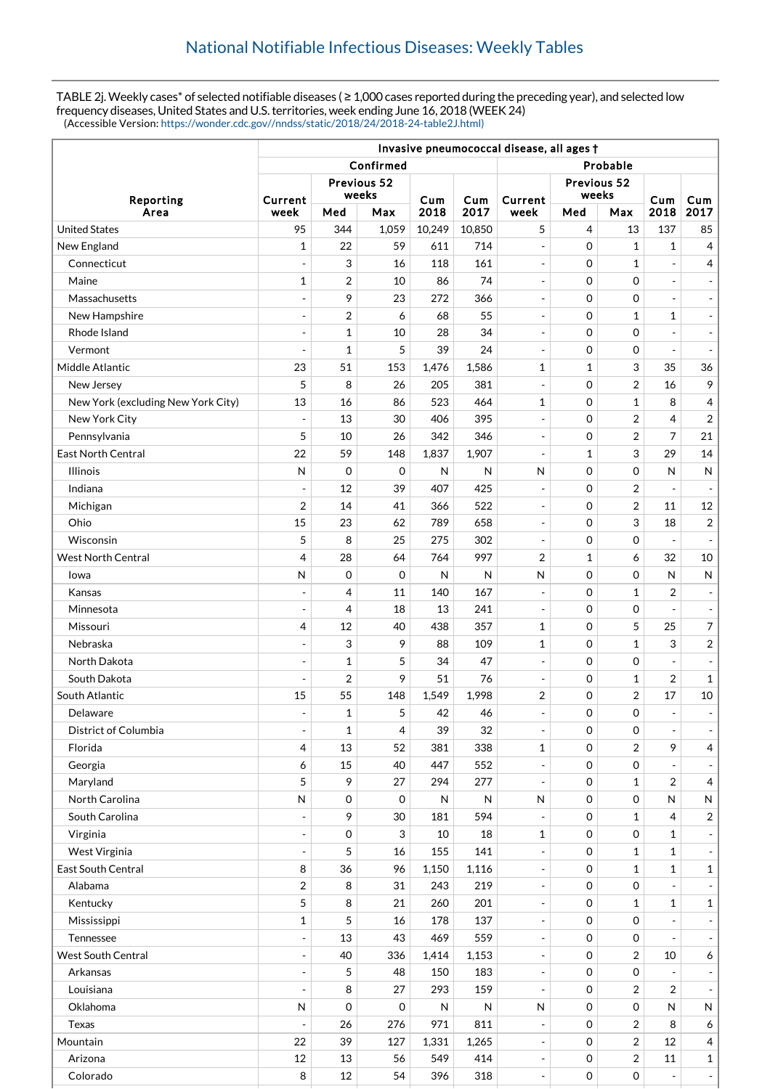TABLE 2j. Weekly cases\* of selected notifiable diseases ( ≥ 1,000 cases reported during the preceding year), and selected low frequency diseases, United States and U.S. territories, week ending June 16, 2018 (WEEK 24) (Accessible Version: [https://wonder.cdc.gov//nndss/static/2018/24/2018-24-table2J.html\)](https://wonder.cdc.gov//nndss/static/2018/24/2018-24-table2J.html)

|                                        | Invasive pneumococcal disease, all ages t  |                          |                   |                     |             |                                          |                            |                     |                                      |                                            |
|----------------------------------------|--------------------------------------------|--------------------------|-------------------|---------------------|-------------|------------------------------------------|----------------------------|---------------------|--------------------------------------|--------------------------------------------|
|                                        |                                            | Confirmed<br>Probable    |                   |                     |             |                                          |                            |                     |                                      |                                            |
| Reporting<br>Area                      |                                            | Previous 52<br>weeks     |                   |                     |             |                                          | Previous 52<br>weeks       |                     |                                      |                                            |
|                                        | Current<br>week                            | Med                      | Max               | Cum<br>2018         | Cum<br>2017 | Current<br>week                          | Med                        | Max                 | Cum<br>2018                          | Cum<br>2017                                |
| <b>United States</b>                   | 95                                         | 344                      | 1,059             | 10,249              | 10,850      | 5                                        | 4                          | 13                  | 137                                  | 85                                         |
| New England                            | 1                                          | 22                       | 59                | 611                 | 714         | $\overline{\phantom{a}}$                 | 0                          | $\mathbf{1}$        | $\mathbf{1}$                         | $\overline{4}$                             |
| Connecticut                            | $\overline{a}$                             | 3                        | 16                | 118                 | 161         | $\overline{a}$                           | $\mathbf 0$                | $\mathbf 1$         |                                      | 4                                          |
| Maine                                  | 1                                          | 2                        | 10                | 86                  | 74          | $\overline{\phantom{a}}$                 | 0                          | 0                   | $\overline{\phantom{a}}$             | $\overline{\phantom{a}}$                   |
| Massachusetts                          | $\blacksquare$                             | 9                        | 23                | 272                 | 366         | $\overline{\phantom{a}}$                 | 0                          | 0                   | $\sim$                               | $\overline{\phantom{a}}$                   |
| New Hampshire                          | $\overline{a}$                             | $\overline{2}$           | 6                 | 68                  | 55          | $\overline{a}$                           | 0                          | $\mathbf 1$         | 1                                    | $\overline{\phantom{a}}$                   |
| Rhode Island                           | $\overline{\phantom{a}}$                   | 1                        | 10                | 28                  | 34          | $\overline{a}$                           | 0                          | 0                   |                                      | $\blacksquare$                             |
| Vermont                                |                                            | 1                        | 5                 | 39                  | 24          | $\overline{a}$                           | 0                          | 0                   |                                      | $\blacksquare$                             |
| Middle Atlantic                        | 23                                         | 51                       | 153               | 1,476               | 1,586       | 1                                        | 1                          | 3                   | 35                                   | 36                                         |
| New Jersey                             | 5                                          | 8                        | 26                | 205                 | 381         | $\frac{1}{2}$                            | 0                          | 2                   | 16                                   | 9                                          |
| New York (excluding New York City)     | 13                                         | 16                       | 86                | 523                 | 464         | 1                                        | 0                          | 1                   | 8                                    | 4                                          |
| New York City                          | $\overline{\phantom{a}}$                   | 13                       | 30                | 406                 | 395         | $\overline{a}$                           | 0                          | $\overline{2}$      | 4                                    | 2                                          |
| Pennsylvania                           | 5                                          | 10                       | 26                | 342                 | 346         | $\blacksquare$                           | 0                          | 2                   | 7                                    | 21                                         |
| <b>East North Central</b>              | 22                                         | 59                       | 148               | 1,837               | 1,907       | $\overline{a}$                           | 1                          | 3                   | 29                                   | 14                                         |
| <b>Illinois</b>                        | N                                          | $\mathbf 0$              | $\mathbf 0$       | N                   | N           | N                                        | 0                          | 0                   | N                                    | N                                          |
| Indiana                                | $\blacksquare$                             | 12                       | 39                | 407                 | 425         | $\overline{a}$                           | $\mathbf 0$                | $\overline{2}$      |                                      | $\overline{\phantom{a}}$                   |
| Michigan                               | 2                                          | 14                       | 41                | 366                 | 522         | $\overline{a}$                           | 0                          | $\overline{2}$      | 11                                   | 12                                         |
| Ohio                                   | 15                                         | 23                       | 62                | 789                 | 658         | $\overline{\phantom{a}}$                 | 0                          | 3                   | 18                                   | $\overline{\mathbf{c}}$                    |
| Wisconsin                              | 5                                          | 8                        | 25                | 275                 | 302         | $\frac{1}{2}$                            | 0                          | 0                   |                                      | $\blacksquare$                             |
| <b>West North Central</b>              | 4                                          | 28                       | 64                | 764                 | 997         | $\overline{2}$                           | 1                          | 6                   | 32                                   | 10                                         |
| Iowa                                   | N                                          | $\mathbf 0$              | $\mathbf 0$       | $\mathsf{N}$        | N           | $\mathsf{N}$                             | 0                          | $\mathbf 0$         | $\mathsf{N}$                         | $\mathsf{N}$                               |
| Kansas                                 | $\qquad \qquad \blacksquare$               | 4                        | 11                | 140                 | 167         | $\blacksquare$                           | 0                          | $\mathbf 1$         | 2                                    | $\frac{1}{2}$                              |
| Minnesota                              | $\overline{\phantom{a}}$                   | 4                        | 18                | 13                  | 241         | $\bar{\phantom{a}}$                      | $\mathbf 0$                | 0                   | $\overline{a}$                       | $\overline{\phantom{a}}$                   |
| Missouri                               | 4                                          | 12                       | 40                | 438                 | 357         | 1                                        | 0                          | 5                   | 25                                   | $\overline{7}$                             |
| Nebraska                               | $\overline{a}$                             | 3                        | 9                 | 88                  | 109         | 1                                        | $\mathbf 0$                | $\mathbf{1}$        | 3                                    | $\overline{2}$                             |
| North Dakota                           | $\overline{\phantom{a}}$                   | 1                        | 5                 | 34                  | 47          | $\blacksquare$                           | 0                          | 0                   |                                      | $\overline{\phantom{a}}$                   |
| South Dakota                           |                                            | $\overline{2}$           | 9                 | 51                  | 76          | $\overline{a}$                           |                            |                     | $\overline{2}$                       |                                            |
| South Atlantic                         | $\overline{\phantom{a}}$<br>15             | 55                       | 148               | 1,549               | 1,998       | $\overline{2}$                           | 0<br>0                     | 1<br>$\overline{2}$ | 17                                   | $\mathbf{1}$<br>10                         |
|                                        | $\overline{\phantom{a}}$                   | 1                        | 5                 | 42                  | 46          | $\frac{1}{2}$                            | $\mathbf 0$                | 0                   | $\sim$                               |                                            |
| Delaware                               |                                            |                          |                   | 39                  | 32          |                                          |                            | $\mathbf 0$         |                                      | $\overline{\phantom{a}}$                   |
| District of Columbia<br>Florida        | $\qquad \qquad \blacksquare$<br>4          | 1<br>13                  | 4<br>52           | 381                 | 338         | $\overline{a}$<br>$\mathbf 1$            | 0<br>0                     | 2                   | $\overline{\phantom{a}}$<br>9        | $\overline{\phantom{a}}$<br>$\overline{4}$ |
|                                        | 6                                          | 15                       | 40                | 447                 | 552         |                                          | 0                          | 0                   |                                      |                                            |
| Georgia                                |                                            |                          |                   |                     |             |                                          |                            |                     |                                      | $\overline{\phantom{a}}$                   |
| Maryland<br>North Carolina             | 5<br>${\sf N}$                             | 9<br>$\mathsf{O}\xspace$ | 27<br>$\mathbf 0$ | 294<br>$\mathsf{N}$ | 277         | $\overline{\phantom{a}}$<br>$\mathsf{N}$ | 0<br>$\boldsymbol{0}$      | 1<br>0              | $\overline{\mathbf{c}}$<br>${\sf N}$ | $\overline{4}$                             |
| South Carolina                         | $\frac{1}{2}$                              | 9                        | 30                | 181                 | N           | $\blacksquare$                           | $\mathbf 0$                |                     | 4                                    | N                                          |
| Virginia                               | $\blacksquare$                             | $\mathbf 0$              | 3                 | 10                  | 594<br>18   | 1                                        | $\mathbf 0$                | 1<br>0              | $\mathbf 1$                          | $\overline{c}$                             |
| West Virginia                          | $\overline{\phantom{a}}$                   | 5                        | 16                | 155                 | 141         | $\blacksquare$                           | 0                          | 1                   | $\mathbf{1}$                         | $\overline{\phantom{a}}$                   |
| East South Central                     | 8                                          | 36                       | 96                | 1,150               | 1,116       | $\overline{\phantom{a}}$                 | $\boldsymbol{0}$           | $\mathbf{1}$        | $\mathbf{1}$                         | $\overline{\phantom{a}}$<br>$\mathbf 1$    |
| Alabama                                | 2                                          | 8                        | 31                | 243                 | 219         | $\overline{a}$                           | $\mathbf 0$                | 0                   |                                      | $\blacksquare$                             |
| Kentucky                               | 5                                          | 8                        | 21                | 260                 | 201         | $\overline{\phantom{a}}$                 | 0                          | 1                   | $\mathbf{1}$                         | $\mathbf{1}$                               |
| Mississippi                            | $\mathbf{1}$                               | 5                        | 16                | 178                 | 137         |                                          | $\mathbf 0$                | $\mathbf 0$         |                                      |                                            |
|                                        |                                            | 13                       | 43                | 469                 | 559         |                                          |                            | 0                   |                                      | $\pm$                                      |
| Tennessee<br><b>West South Central</b> | $\blacksquare$<br>$\overline{\phantom{a}}$ | 40                       |                   |                     |             | $\blacksquare$<br>$\overline{a}$         | 0<br>$\boldsymbol{0}$      | $\overline{2}$      | 10                                   | $\overline{\phantom{a}}$                   |
|                                        |                                            |                          | 336               | 1,414               | 1,153       |                                          |                            |                     |                                      | 6                                          |
| Arkansas<br>Louisiana                  | $\overline{\phantom{a}}$<br>$\frac{1}{2}$  | 5<br>8                   | 48<br>27          | 150<br>293          | 183<br>159  | $\blacksquare$<br>$\frac{1}{2}$          | $\mathbf 0$<br>$\mathbf 0$ | 0                   | 2                                    | $\overline{\phantom{a}}$                   |
|                                        |                                            |                          |                   |                     |             |                                          |                            | 2                   |                                      | $\blacksquare$                             |
| Oklahoma                               | N                                          | $\mathbf 0$              | $\mathbf 0$       | N                   | N           | $\mathsf{N}$                             | $\boldsymbol{0}$           | $\mathbf 0$         | $\mathsf{N}$                         | N                                          |
| Texas                                  |                                            | 26                       | 276               | 971                 | 811         |                                          | $\boldsymbol{0}$           | $\overline{2}$      | 8                                    | 6                                          |
| Mountain                               | 22                                         | 39                       | 127               | 1,331               | 1,265       | $\overline{\phantom{a}}$                 | 0                          | 2                   | 12                                   | $\overline{4}$                             |
| Arizona                                | 12                                         | 13                       | 56                | 549                 | 414         | $\overline{\phantom{a}}$                 | $\mathbf 0$                | 2                   | 11                                   | $\mathbf{1}$                               |
| Colorado                               | 8                                          | 12                       | 54                | 396                 | 318         | $\overline{\phantom{a}}$                 | $\mbox{O}$                 | 0                   | $\overline{\phantom{a}}$             | $\pm$                                      |